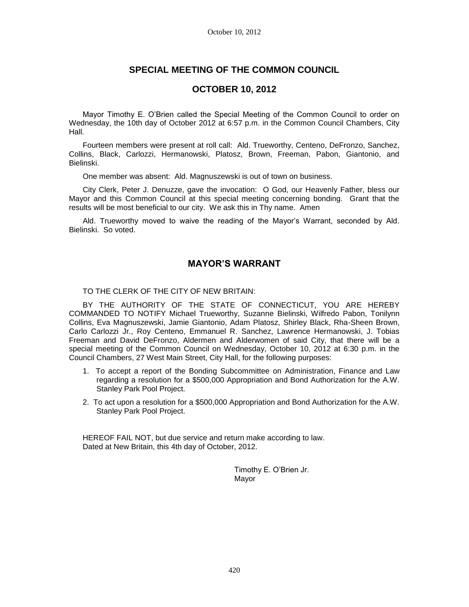# **SPECIAL MEETING OF THE COMMON COUNCIL**

### **OCTOBER 10, 2012**

Mayor Timothy E. O'Brien called the Special Meeting of the Common Council to order on Wednesday, the 10th day of October 2012 at 6:57 p.m. in the Common Council Chambers, City Hall.

Fourteen members were present at roll call: Ald. Trueworthy, Centeno, DeFronzo, Sanchez, Collins, Black, Carlozzi, Hermanowski, Platosz, Brown, Freeman, Pabon, Giantonio, and Bielinski.

One member was absent: Ald. Magnuszewski is out of town on business.

City Clerk, Peter J. Denuzze, gave the invocation: O God, our Heavenly Father, bless our Mayor and this Common Council at this special meeting concerning bonding. Grant that the results will be most beneficial to our city. We ask this in Thy name. Amen

Ald. Trueworthy moved to waive the reading of the Mayor's Warrant, seconded by Ald. Bielinski. So voted.

## **MAYOR'S WARRANT**

TO THE CLERK OF THE CITY OF NEW BRITAIN:

BY THE AUTHORITY OF THE STATE OF CONNECTICUT, YOU ARE HEREBY COMMANDED TO NOTIFY Michael Trueworthy, Suzanne Bielinski, Wilfredo Pabon, Tonilynn Collins, Eva Magnuszewski, Jamie Giantonio, Adam Platosz, Shirley Black, Rha-Sheen Brown, Carlo Carlozzi Jr., Roy Centeno, Emmanuel R. Sanchez, Lawrence Hermanowski, J. Tobias Freeman and David DeFronzo, Aldermen and Alderwomen of said City, that there will be a special meeting of the Common Council on Wednesday, October 10, 2012 at 6:30 p.m. in the Council Chambers, 27 West Main Street, City Hall, for the following purposes:

- 1. To accept a report of the Bonding Subcommittee on Administration, Finance and Law regarding a resolution for a \$500,000 Appropriation and Bond Authorization for the A.W. Stanley Park Pool Project.
- 2. To act upon a resolution for a \$500,000 Appropriation and Bond Authorization for the A.W. Stanley Park Pool Project.

HEREOF FAIL NOT, but due service and return make according to law. Dated at New Britain, this 4th day of October, 2012.

> Timothy E. O'Brien Jr. Mayor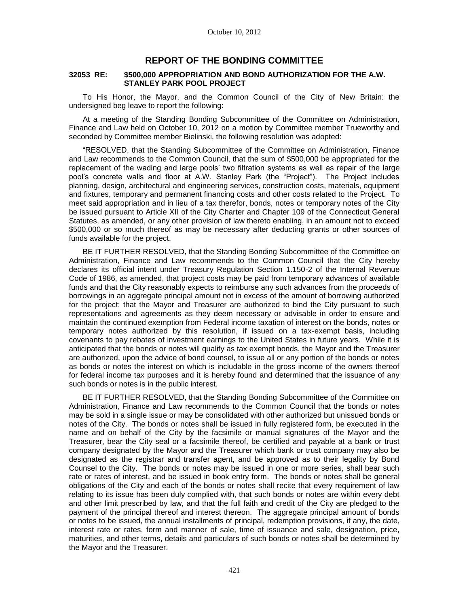## **REPORT OF THE BONDING COMMITTEE**

#### **32053 RE: \$500,000 APPROPRIATION AND BOND AUTHORIZATION FOR THE A.W. STANLEY PARK POOL PROJECT**

To His Honor, the Mayor, and the Common Council of the City of New Britain: the undersigned beg leave to report the following:

At a meeting of the Standing Bonding Subcommittee of the Committee on Administration, Finance and Law held on October 10, 2012 on a motion by Committee member Trueworthy and seconded by Committee member Bielinski, the following resolution was adopted:

"RESOLVED, that the Standing Subcommittee of the Committee on Administration, Finance and Law recommends to the Common Council, that the sum of \$500,000 be appropriated for the replacement of the wading and large pools' two filtration systems as well as repair of the large pool's concrete walls and floor at A.W. Stanley Park (the "Project"). The Project includes planning, design, architectural and engineering services, construction costs, materials, equipment and fixtures, temporary and permanent financing costs and other costs related to the Project. To meet said appropriation and in lieu of a tax therefor, bonds, notes or temporary notes of the City be issued pursuant to Article XII of the City Charter and Chapter 109 of the Connecticut General Statutes, as amended, or any other provision of law thereto enabling, in an amount not to exceed \$500,000 or so much thereof as may be necessary after deducting grants or other sources of funds available for the project.

BE IT FURTHER RESOLVED, that the Standing Bonding Subcommittee of the Committee on Administration, Finance and Law recommends to the Common Council that the City hereby declares its official intent under Treasury Regulation Section 1.150-2 of the Internal Revenue Code of 1986, as amended, that project costs may be paid from temporary advances of available funds and that the City reasonably expects to reimburse any such advances from the proceeds of borrowings in an aggregate principal amount not in excess of the amount of borrowing authorized for the project; that the Mayor and Treasurer are authorized to bind the City pursuant to such representations and agreements as they deem necessary or advisable in order to ensure and maintain the continued exemption from Federal income taxation of interest on the bonds, notes or temporary notes authorized by this resolution, if issued on a tax-exempt basis, including covenants to pay rebates of investment earnings to the United States in future years. While it is anticipated that the bonds or notes will qualify as tax exempt bonds, the Mayor and the Treasurer are authorized, upon the advice of bond counsel, to issue all or any portion of the bonds or notes as bonds or notes the interest on which is includable in the gross income of the owners thereof for federal income tax purposes and it is hereby found and determined that the issuance of any such bonds or notes is in the public interest.

BE IT FURTHER RESOLVED, that the Standing Bonding Subcommittee of the Committee on Administration, Finance and Law recommends to the Common Council that the bonds or notes may be sold in a single issue or may be consolidated with other authorized but unissued bonds or notes of the City. The bonds or notes shall be issued in fully registered form, be executed in the name and on behalf of the City by the facsimile or manual signatures of the Mayor and the Treasurer, bear the City seal or a facsimile thereof, be certified and payable at a bank or trust company designated by the Mayor and the Treasurer which bank or trust company may also be designated as the registrar and transfer agent, and be approved as to their legality by Bond Counsel to the City. The bonds or notes may be issued in one or more series, shall bear such rate or rates of interest, and be issued in book entry form. The bonds or notes shall be general obligations of the City and each of the bonds or notes shall recite that every requirement of law relating to its issue has been duly complied with, that such bonds or notes are within every debt and other limit prescribed by law, and that the full faith and credit of the City are pledged to the payment of the principal thereof and interest thereon. The aggregate principal amount of bonds or notes to be issued, the annual installments of principal, redemption provisions, if any, the date, interest rate or rates, form and manner of sale, time of issuance and sale, designation, price, maturities, and other terms, details and particulars of such bonds or notes shall be determined by the Mayor and the Treasurer.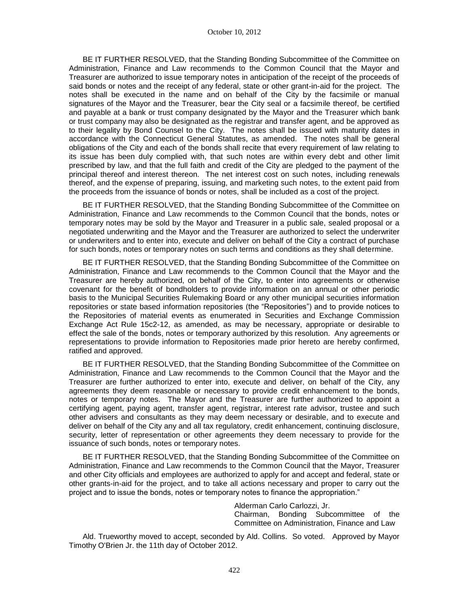BE IT FURTHER RESOLVED, that the Standing Bonding Subcommittee of the Committee on Administration, Finance and Law recommends to the Common Council that the Mayor and Treasurer are authorized to issue temporary notes in anticipation of the receipt of the proceeds of said bonds or notes and the receipt of any federal, state or other grant-in-aid for the project. The notes shall be executed in the name and on behalf of the City by the facsimile or manual signatures of the Mayor and the Treasurer, bear the City seal or a facsimile thereof, be certified and payable at a bank or trust company designated by the Mayor and the Treasurer which bank or trust company may also be designated as the registrar and transfer agent, and be approved as to their legality by Bond Counsel to the City. The notes shall be issued with maturity dates in accordance with the Connecticut General Statutes, as amended. The notes shall be general obligations of the City and each of the bonds shall recite that every requirement of law relating to its issue has been duly complied with, that such notes are within every debt and other limit prescribed by law, and that the full faith and credit of the City are pledged to the payment of the principal thereof and interest thereon. The net interest cost on such notes, including renewals thereof, and the expense of preparing, issuing, and marketing such notes, to the extent paid from the proceeds from the issuance of bonds or notes, shall be included as a cost of the project.

BE IT FURTHER RESOLVED, that the Standing Bonding Subcommittee of the Committee on Administration, Finance and Law recommends to the Common Council that the bonds, notes or temporary notes may be sold by the Mayor and Treasurer in a public sale, sealed proposal or a negotiated underwriting and the Mayor and the Treasurer are authorized to select the underwriter or underwriters and to enter into, execute and deliver on behalf of the City a contract of purchase for such bonds, notes or temporary notes on such terms and conditions as they shall determine.

BE IT FURTHER RESOLVED, that the Standing Bonding Subcommittee of the Committee on Administration, Finance and Law recommends to the Common Council that the Mayor and the Treasurer are hereby authorized, on behalf of the City, to enter into agreements or otherwise covenant for the benefit of bondholders to provide information on an annual or other periodic basis to the Municipal Securities Rulemaking Board or any other municipal securities information repositories or state based information repositories (the "Repositories") and to provide notices to the Repositories of material events as enumerated in Securities and Exchange Commission Exchange Act Rule 15c2-12, as amended, as may be necessary, appropriate or desirable to effect the sale of the bonds, notes or temporary authorized by this resolution. Any agreements or representations to provide information to Repositories made prior hereto are hereby confirmed, ratified and approved.

BE IT FURTHER RESOLVED, that the Standing Bonding Subcommittee of the Committee on Administration, Finance and Law recommends to the Common Council that the Mayor and the Treasurer are further authorized to enter into, execute and deliver, on behalf of the City, any agreements they deem reasonable or necessary to provide credit enhancement to the bonds, notes or temporary notes. The Mayor and the Treasurer are further authorized to appoint a certifying agent, paying agent, transfer agent, registrar, interest rate advisor, trustee and such other advisers and consultants as they may deem necessary or desirable, and to execute and deliver on behalf of the City any and all tax regulatory, credit enhancement, continuing disclosure, security, letter of representation or other agreements they deem necessary to provide for the issuance of such bonds, notes or temporary notes.

BE IT FURTHER RESOLVED, that the Standing Bonding Subcommittee of the Committee on Administration, Finance and Law recommends to the Common Council that the Mayor, Treasurer and other City officials and employees are authorized to apply for and accept and federal, state or other grants-in-aid for the project, and to take all actions necessary and proper to carry out the project and to issue the bonds, notes or temporary notes to finance the appropriation."

> Alderman Carlo Carlozzi, Jr. Chairman, Bonding Subcommittee of the Committee on Administration, Finance and Law

Ald. Trueworthy moved to accept, seconded by Ald. Collins. So voted. Approved by Mayor Timothy O'Brien Jr. the 11th day of October 2012.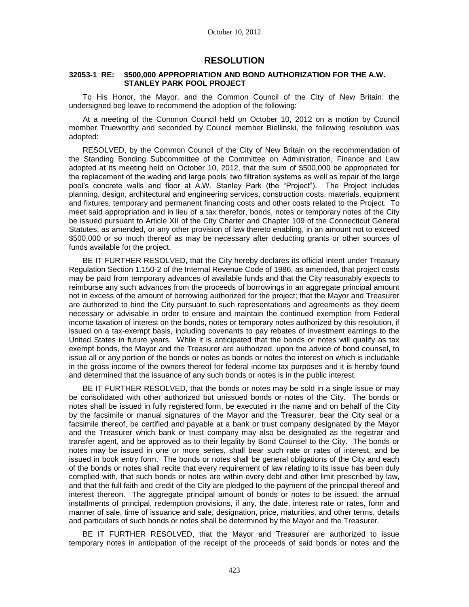### **RESOLUTION**

#### **32053-1 RE: \$500,000 APPROPRIATION AND BOND AUTHORIZATION FOR THE A.W. STANLEY PARK POOL PROJECT**

To His Honor, the Mayor, and the Common Council of the City of New Britain: the undersigned beg leave to recommend the adoption of the following:

At a meeting of the Common Council held on October 10, 2012 on a motion by Council member Trueworthy and seconded by Council member Biellinski, the following resolution was adopted:

RESOLVED, by the Common Council of the City of New Britain on the recommendation of the Standing Bonding Subcommittee of the Committee on Administration, Finance and Law adopted at its meeting held on October 10, 2012, that the sum of \$500,000 be appropriated for the replacement of the wading and large pools' two filtration systems as well as repair of the large pool's concrete walls and floor at A.W. Stanley Park (the "Project"). The Project includes planning, design, architectural and engineering services, construction costs, materials, equipment and fixtures, temporary and permanent financing costs and other costs related to the Project. To meet said appropriation and in lieu of a tax therefor, bonds, notes or temporary notes of the City be issued pursuant to Article XII of the City Charter and Chapter 109 of the Connecticut General Statutes, as amended, or any other provision of law thereto enabling, in an amount not to exceed \$500,000 or so much thereof as may be necessary after deducting grants or other sources of funds available for the project.

BE IT FURTHER RESOLVED, that the City hereby declares its official intent under Treasury Regulation Section 1.150-2 of the Internal Revenue Code of 1986, as amended, that project costs may be paid from temporary advances of available funds and that the City reasonably expects to reimburse any such advances from the proceeds of borrowings in an aggregate principal amount not in excess of the amount of borrowing authorized for the project; that the Mayor and Treasurer are authorized to bind the City pursuant to such representations and agreements as they deem necessary or advisable in order to ensure and maintain the continued exemption from Federal income taxation of interest on the bonds, notes or temporary notes authorized by this resolution, if issued on a tax-exempt basis, including covenants to pay rebates of investment earnings to the United States in future years. While it is anticipated that the bonds or notes will qualify as tax exempt bonds, the Mayor and the Treasurer are authorized, upon the advice of bond counsel, to issue all or any portion of the bonds or notes as bonds or notes the interest on which is includable in the gross income of the owners thereof for federal income tax purposes and it is hereby found and determined that the issuance of any such bonds or notes is in the public interest.

BE IT FURTHER RESOLVED, that the bonds or notes may be sold in a single issue or may be consolidated with other authorized but unissued bonds or notes of the City. The bonds or notes shall be issued in fully registered form, be executed in the name and on behalf of the City by the facsimile or manual signatures of the Mayor and the Treasurer, bear the City seal or a facsimile thereof, be certified and payable at a bank or trust company designated by the Mayor and the Treasurer which bank or trust company may also be designated as the registrar and transfer agent, and be approved as to their legality by Bond Counsel to the City. The bonds or notes may be issued in one or more series, shall bear such rate or rates of interest, and be issued in book entry form. The bonds or notes shall be general obligations of the City and each of the bonds or notes shall recite that every requirement of law relating to its issue has been duly complied with, that such bonds or notes are within every debt and other limit prescribed by law, and that the full faith and credit of the City are pledged to the payment of the principal thereof and interest thereon. The aggregate principal amount of bonds or notes to be issued, the annual installments of principal, redemption provisions, if any, the date, interest rate or rates, form and manner of sale, time of issuance and sale, designation, price, maturities, and other terms, details and particulars of such bonds or notes shall be determined by the Mayor and the Treasurer.

BE IT FURTHER RESOLVED, that the Mayor and Treasurer are authorized to issue temporary notes in anticipation of the receipt of the proceeds of said bonds or notes and the